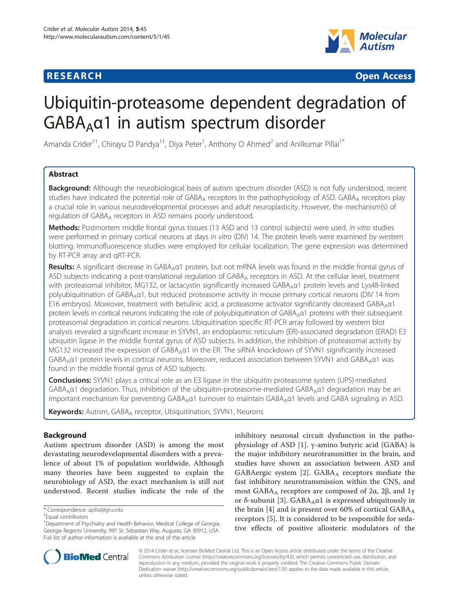

**RESEARCH CHINESE ARCH CHINESE ARCH CHINESE ARCH <b>CHINESE ARCH** 

# Ubiquitin-proteasome dependent degradation of  $GABA_A\alpha1$  in autism spectrum disorder

Amanda Crider<sup>1†</sup>, Chirayu D Pandya<sup>1†</sup>, Diya Peter<sup>1</sup>, Anthony O Ahmed<sup>2</sup> and Anilkumar Pillai<sup>1\*</sup>

# Abstract

Background: Although the neurobiological basis of autism spectrum disorder (ASD) is not fully understood, recent studies have indicated the potential role of  $GABA<sub>A</sub>$  receptors in the pathophysiology of ASD.  $GABA<sub>A</sub>$  receptors play a crucial role in various neurodevelopmental processes and adult neuroplasticity. However, the mechanism(s) of regulation of GABA<sub>A</sub> receptors in ASD remains poorly understood.

Methods: Postmortem middle frontal gyrus tissues (13 ASD and 13 control subjects) were used. In vitro studies were performed in primary cortical neurons at days in vitro (DIV) 14. The protein levels were examined by western blotting. Immunofluorescence studies were employed for cellular localization. The gene expression was determined by RT-PCR array and qRT-PCR.

Results: A significant decrease in GABA<sub>A</sub>α1 protein, but not mRNA levels was found in the middle frontal gyrus of ASD subjects indicating a post-translational regulation of GABA<sub>A</sub> receptors in ASD. At the cellular level, treatment with proteasomal inhibitor, MG132, or lactacystin significantly increased GABA<sub>A</sub>a1 protein levels and Lys48-linked polyubiquitination of GABA<sub>A</sub>α1, but reduced proteasome activity in mouse primary cortical neurons (DIV 14 from E16 embryos). Moreover, treatment with betulinic acid, a proteasome activator significantly decreased GABA<sub>A</sub>a1 protein levels in cortical neurons indicating the role of polyubiquitination of GABA<sub>A</sub>α1 proteins with their subsequent proteasomal degradation in cortical neurons. Ubiquitination specific RT-PCR array followed by western blot analysis revealed a significant increase in SYVN1, an endoplasmic reticulum (ER)-associated degradation (ERAD) E3 ubiquitin ligase in the middle frontal gyrus of ASD subjects. In addition, the inhibition of proteasomal activity by MG132 increased the expression of GABA<sub>A</sub>α1 in the ER. The siRNA knockdown of SYVN1 significantly increased GABA<sub>A</sub>α1 protein levels in cortical neurons. Moreover, reduced association between SYVN1 and GABA<sub>A</sub>α1 was found in the middle frontal gyrus of ASD subjects.

**Conclusions:** SYVN1 plays a critical role as an E3 ligase in the ubiquitin proteasome system (UPS)-mediated  $GABA_A\alpha1$  degradation. Thus, inhibition of the ubiquitin-proteasome-mediated  $GABA_A\alpha1$  degradation may be an important mechanism for preventing GABA<sub>A</sub>α1 turnover to maintain GABA<sub>A</sub>α1 levels and GABA signaling in ASD.

Keywords: Autism, GABA<sub>A</sub> receptor, Ubiquitination, SYVN1, Neurons

# Background

Autism spectrum disorder (ASD) is among the most devastating neurodevelopmental disorders with a prevalence of about 1% of population worldwide. Although many theories have been suggested to explain the neurobiology of ASD, the exact mechanism is still not understood. Recent studies indicate the role of the

\* Correspondence: [apillai@gru.edu](mailto:apillai@gru.edu) †

inhibitory neuronal circuit dysfunction in the pathophysiology of ASD [[1\]](#page-9-0). γ-amino butyric acid (GABA) is the major inhibitory neurotransmitter in the brain, and studies have shown an association between ASD and GABAergic system [[2\]](#page-9-0).  $GABA_A$  receptors mediate the fast inhibitory neurotransmission within the CNS, and most GABA<sub>A</sub> receptors are composed of 2α, 2β, and 1γ or δ-subunit [\[3](#page-9-0)]. GABA<sub>A</sub> $α1$  is expressed ubiquitously in the brain [\[4](#page-9-0)] and is present over 60% of cortical  $GABA_A$ receptors [\[5\]](#page-9-0). It is considered to be responsible for sedative effects of positive allosteric modulators of the



© 2014 Crider et al.; licensee BioMed Central Ltd. This is an Open Access article distributed under the terms of the Creative Commons Attribution License [\(http://creativecommons.org/licenses/by/4.0\)](http://creativecommons.org/licenses/by/4.0), which permits unrestricted use, distribution, and reproduction in any medium, provided the original work is properly credited. The Creative Commons Public Domain Dedication waiver [\(http://creativecommons.org/publicdomain/zero/1.0/](http://creativecommons.org/publicdomain/zero/1.0/)) applies to the data made available in this article, unless otherwise stated.

Equal contributors

<sup>&</sup>lt;sup>1</sup>Department of Psychiatry and Health Behavior, Medical College of Georgia, Georgia Regents University, 997 St. Sebastian Way, Augusta, GA 30912, USA Full list of author information is available at the end of the article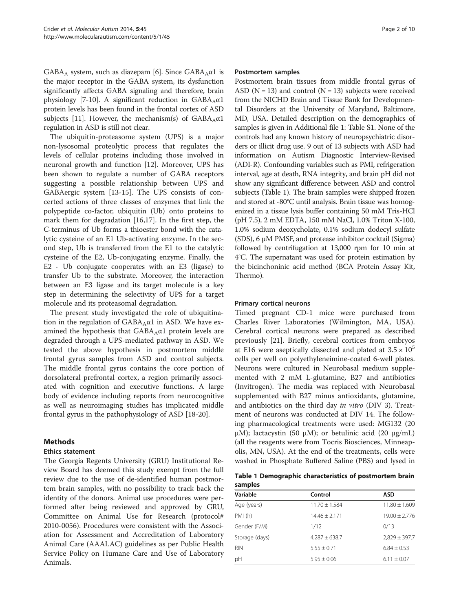$GABA_A$  system, such as diazepam [\[6](#page-9-0)]. Since  $GABA_A\alpha1$  is the major receptor in the GABA system, its dysfunction significantly affects GABA signaling and therefore, brain physiology [[7-10\]](#page-9-0). A significant reduction in  $GABA_A\alpha1$ protein levels has been found in the frontal cortex of ASD subjects [\[11](#page-9-0)]. However, the mechanism(s) of  $GABA_A\alpha1$ regulation in ASD is still not clear.

The ubiquitin-proteasome system (UPS) is a major non-lysosomal proteolytic process that regulates the levels of cellular proteins including those involved in neuronal growth and function [[12](#page-9-0)]. Moreover, UPS has been shown to regulate a number of GABA receptors suggesting a possible relationship between UPS and GABAergic system [\[13](#page-9-0)-[15\]](#page-9-0). The UPS consists of concerted actions of three classes of enzymes that link the polypeptide co-factor, ubiquitin (Ub) onto proteins to mark them for degradation [\[16,17](#page-9-0)]. In the first step, the C-terminus of Ub forms a thioester bond with the catalytic cysteine of an E1 Ub-activating enzyme. In the second step, Ub is transferred from the E1 to the catalytic cysteine of the E2, Ub-conjugating enzyme. Finally, the E2 - Ub conjugate cooperates with an E3 (ligase) to transfer Ub to the substrate. Moreover, the interaction between an E3 ligase and its target molecule is a key step in determining the selectivity of UPS for a target molecule and its proteasomal degradation.

The present study investigated the role of ubiquitination in the regulation of  $GABA_A\alpha1$  in ASD. We have examined the hypothesis that  $GABA_A\alpha1$  protein levels are degraded through a UPS-mediated pathway in ASD. We tested the above hypothesis in postmortem middle frontal gyrus samples from ASD and control subjects. The middle frontal gyrus contains the core portion of dorsolateral prefrontal cortex, a region primarily associated with cognition and executive functions. A large body of evidence including reports from neurocognitive as well as neuroimaging studies has implicated middle frontal gyrus in the pathophysiology of ASD [[18-20](#page-9-0)].

# Methods

#### Ethics statement

The Georgia Regents University (GRU) Institutional Review Board has deemed this study exempt from the full review due to the use of de-identified human postmortem brain samples, with no possibility to track back the identity of the donors. Animal use procedures were performed after being reviewed and approved by GRU, Committee on Animal Use for Research (protocol# 2010-0056). Procedures were consistent with the Association for Assessment and Accreditation of Laboratory Animal Care (AAALAC) guidelines as per Public Health Service Policy on Humane Care and Use of Laboratory Animals.

#### Postmortem samples

Postmortem brain tissues from middle frontal gyrus of ASD ( $N = 13$ ) and control ( $N = 13$ ) subjects were received from the NICHD Brain and Tissue Bank for Developmental Disorders at the University of Maryland, Baltimore, MD, USA. Detailed description on the demographics of samples is given in Additional file [1:](#page-8-0) Table S1. None of the controls had any known history of neuropsychiatric disorders or illicit drug use. 9 out of 13 subjects with ASD had information on Autism Diagnostic Interview-Revised (ADI-R). Confounding variables such as PMI, refrigeration interval, age at death, RNA integrity, and brain pH did not show any significant difference between ASD and control subjects (Table 1). The brain samples were shipped frozen and stored at -80°C until analysis. Brain tissue was homogenized in a tissue lysis buffer containing 50 mM Tris-HCl (pH 7.5), 2 mM EDTA, 150 mM NaCl, 1.0% Triton X-100, 1.0% sodium deoxycholate, 0.1% sodium dodecyl sulfate (SDS), 6 μM PMSF, and protease inhibitor cocktail (Sigma) followed by centrifugation at 13,000 rpm for 10 min at 4°C. The supernatant was used for protein estimation by the bicinchoninic acid method (BCA Protein Assay Kit, Thermo).

# Primary cortical neurons

Timed pregnant CD-1 mice were purchased from Charles River Laboratories (Wilmington, MA, USA). Cerebral cortical neurons were prepared as described previously [[21\]](#page-9-0). Briefly, cerebral cortices from embryos at E16 were aseptically dissected and plated at  $3.5 \times 10^5$ cells per well on polyethyleneimine-coated 6-well plates. Neurons were cultured in Neurobasal medium supplemented with 2 mM L-glutamine, B27 and antibiotics (Invitrogen). The media was replaced with Neurobasal supplemented with B27 minus antioxidants, glutamine, and antibiotics on the third day *in vitro* (DIV 3). Treatment of neurons was conducted at DIV 14. The following pharmacological treatments were used: MG132 (20 μM); lactacystin (50 μM); or betulinic acid (20 μg/mL) (all the reagents were from Tocris Biosciences, Minneapolis, MN, USA). At the end of the treatments, cells were washed in Phosphate Buffered Saline (PBS) and lysed in

| Table 1 Demographic characteristics of postmortem brain |  |  |
|---------------------------------------------------------|--|--|
| samples                                                 |  |  |

| Variable       | Control           | ASD               |  |  |
|----------------|-------------------|-------------------|--|--|
| Age (years)    | $11.70 \pm 1.584$ | $11.80 \pm 1.609$ |  |  |
| PMI(h)         | $14.46 \pm 2.171$ | $19.00 \pm 2.776$ |  |  |
| Gender (F/M)   | 1/12              | 0/13              |  |  |
| Storage (days) | $4,287 \pm 638.7$ | $2,829 \pm 397.7$ |  |  |
| <b>RIN</b>     | $5.55 \pm 0.71$   | $6.84 \pm 0.53$   |  |  |
| pH             | $5.95 \pm 0.06$   | $6.11 \pm 0.07$   |  |  |
|                |                   |                   |  |  |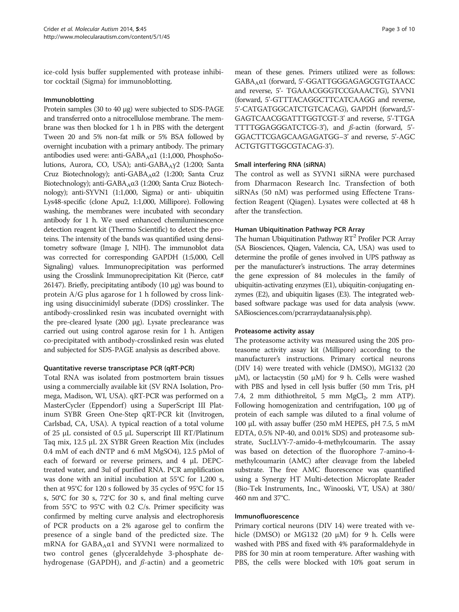ice-cold lysis buffer supplemented with protease inhibitor cocktail (Sigma) for immunoblotting.

#### Immunoblotting

Protein samples (30 to 40 μg) were subjected to SDS-PAGE and transferred onto a nitrocellulose membrane. The membrane was then blocked for 1 h in PBS with the detergent Tween 20 and 5% non-fat milk or 5% BSA followed by overnight incubation with a primary antibody. The primary antibodies used were: anti-GABA $_A$  $\alpha$ 1 (1:1,000, PhosphoSolutions, Aurora, CO, USA); anti-GABAAγ2 (1:200; Santa Cruz Biotechnology); anti-GABA<sub>A</sub>α2 (1:200; Santa Cruz Biotechnology); anti-GABA<sub>A</sub>α3 (1:200; Santa Cruz Biotechnology); anti-SYVN1 (1:1,000, Sigma) or anti- ubiquitin Lys48-specific (clone Apu2, 1:1,000, Millipore). Following washing, the membranes were incubated with secondary antibody for 1 h. We used enhanced chemiluminescence detection reagent kit (Thermo Scientific) to detect the proteins. The intensity of the bands was quantified using densitometry software (Image J, NIH). The immunoblot data was corrected for corresponding GAPDH (1:5,000, Cell Signaling) values. Immunoprecipitation was performed using the Crosslink Immunoprecipitation Kit (Pierce, cat# 26147). Briefly, precipitating antibody (10 μg) was bound to protein A/G plus agarose for 1 h followed by cross linking using disuccinimidyl suberate (DDS) crosslinker. The antibody-crosslinked resin was incubated overnight with the pre-cleared lysate (200 μg). Lysate preclearance was carried out using control agarose resin for 1 h. Antigen co-precipitated with antibody-crosslinked resin was eluted and subjected for SDS-PAGE analysis as described above.

# Quantitative reverse transcriptase PCR (qRT-PCR)

Total RNA was isolated from postmortem brain tissues using a commercially available kit (SV RNA Isolation, Promega, Madison, WI, USA). qRT-PCR was performed on a MasterCycler (Eppendorf) using a SuperScript III Platinum SYBR Green One-Step qRT-PCR kit (Invitrogen, Carlsbad, CA, USA). A typical reaction of a total volume of 25 μL consisted of 0.5 μL Superscript III RT/Platinum Taq mix, 12.5 μL 2X SYBR Green Reaction Mix (includes 0.4 mM of each dNTP and 6 mM MgSO4), 12.5 pMol of each of forward or reverse primers, and 4 μL DEPCtreated water, and 3ul of purified RNA. PCR amplification was done with an initial incubation at 55°C for 1,200 s, then at 95°C for 120 s followed by 35 cycles of 95°C for 15 s, 50°C for 30 s, 72°C for 30 s, and final melting curve from 55°C to 95°C with 0.2 C/s. Primer specificity was confirmed by melting curve analysis and electrophoresis of PCR products on a 2% agarose gel to confirm the presence of a single band of the predicted size. The mRNA for  $GABA_A\alpha1$  and SYVN1 were normalized to two control genes (glyceraldehyde 3-phosphate dehydrogenase (GAPDH), and  $\beta$ -actin) and a geometric

mean of these genes. Primers utilized were as follows: GABAAα1 (forward, 5'-GGATTGGGAGAGCGTGTAACC and reverse, 5'- TGAAACGGGTCCGAAACTG), SYVN1 (forward, 5'-GTTTACAGGCTTCATCAAGG and reverse, 5'-CATGATGGCATCTGTCACAG), GAPDH (forward,5'- GAGTCAACGGATTTGGTCGT-3' and reverse, 5'-TTGA TTTTGGAGGGATCTCG-3'), and  $\beta$ -actin (forward, 5'-GGACTTCGAGCAAGAGATGG–3' and reverse, 5'-AGC ACTGTGTTGGCGTACAG-3').

# Small interfering RNA (siRNA)

The control as well as SYVN1 siRNA were purchased from Dharmacon Research Inc. Transfection of both siRNAs (50 nM) was performed using Effectene Transfection Reagent (Qiagen). Lysates were collected at 48 h after the transfection.

# Human Ubiquitination Pathway PCR Array

The human Ubiquitination Pathway  $RT^2$  Profiler PCR Array (SA Biosciences, Qiagen, Valencia, CA, USA) was used to determine the profile of genes involved in UPS pathway as per the manufacturer's instructions. The array determines the gene expression of 84 molecules in the family of ubiquitin-activating enzymes (E1), ubiquitin-conjugating enzymes (E2), and ubiquitin ligases (E3). The integrated webbased software package was used for data analysis ([www.](http://www.sabiosciences.com/pcrarraydataanalysis.php) [SABiosciences.com/pcrarraydataanalysis.php](http://www.sabiosciences.com/pcrarraydataanalysis.php)).

#### Proteasome activity assay

The proteasome activity was measured using the 20S proteasome activity assay kit (Millipore) according to the manufacturer's instructions. Primary cortical neurons (DIV 14) were treated with vehicle (DMSO), MG132 (20 μM), or lactacystin (50 μM) for 9 h. Cells were washed with PBS and lysed in cell lysis buffer (50 mm Tris, pH 7.4, 2 mm dithiothreitol, 5 mm  $MgCl<sub>2</sub>$ , 2 mm ATP). Following homogenization and centrifugation, 100 μg of protein of each sample was diluted to a final volume of 100 μL with assay buffer (250 mM HEPES, pH 7.5, 5 mM EDTA, 0.5% NP-40, and 0.01% SDS) and proteasome substrate, SucLLVY-7-amido-4-methylcoumarin. The assay was based on detection of the fluorophore 7-amino-4 methylcoumarin (AMC) after cleavage from the labeled substrate. The free AMC fluorescence was quantified using a Synergy HT Multi-detection Microplate Reader (Bio-Tek Instruments, Inc., Winooski, VT, USA) at 380/ 460 nm and 37°C.

#### Immunofluorescence

Primary cortical neurons (DIV 14) were treated with vehicle (DMSO) or MG132 (20  $\mu$ M) for 9 h. Cells were washed with PBS and fixed with 4% paraformaldehyde in PBS for 30 min at room temperature. After washing with PBS, the cells were blocked with 10% goat serum in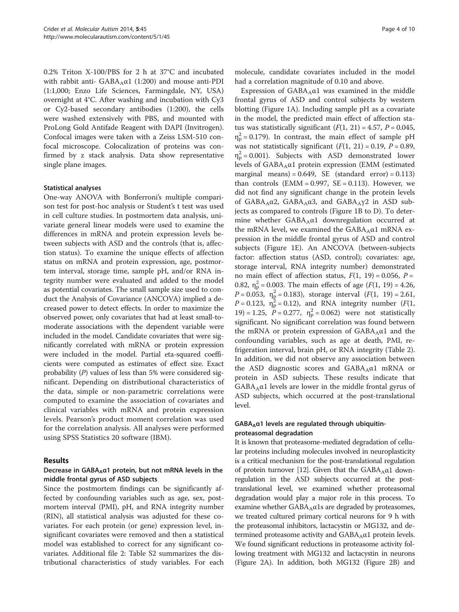0.2% Triton X-100/PBS for 2 h at 37°C and incubated with rabbit anti-  $GABA_A\alpha1$  (1:200) and mouse anti-PDI (1:1,000; Enzo Life Sciences, Farmingdale, NY, USA) overnight at 4°C. After washing and incubation with Cy3 or Cy2-based secondary antibodies (1:200), the cells were washed extensively with PBS, and mounted with ProLong Gold Antifade Reagent with DAPI (Invitrogen). Confocal images were taken with a Zeiss LSM-510 confocal microscope. Colocalization of proteins was confirmed by z stack analysis. Data show representative single plane images.

#### Statistical analyses

One-way ANOVA with Bonferroni's multiple comparison test for post-hoc analysis or Student's t test was used in cell culture studies. In postmortem data analysis, univariate general linear models were used to examine the differences in mRNA and protein expression levels between subjects with ASD and the controls (that is, affection status). To examine the unique effects of affection status on mRNA and protein expression, age, postmortem interval, storage time, sample pH, and/or RNA integrity number were evaluated and added to the model as potential covariates. The small sample size used to conduct the Analysis of Covariance (ANCOVA) implied a decreased power to detect effects. In order to maximize the observed power, only covariates that had at least small-tomoderate associations with the dependent variable were included in the model. Candidate covariates that were significantly correlated with mRNA or protein expression were included in the model. Partial eta-squared coefficients were computed as estimates of effect size. Exact probability (P) values of less than 5% were considered significant. Depending on distributional characteristics of the data, simple or non-parametric correlations were computed to examine the association of covariates and clinical variables with mRNA and protein expression levels. Pearson's product moment correlation was used for the correlation analysis. All analyses were performed using SPSS Statistics 20 software (IBM).

# Results

# Decrease in  $GABA_A\alpha_1$  protein, but not mRNA levels in the middle frontal gyrus of ASD subjects

Since the postmortem findings can be significantly affected by confounding variables such as age, sex, postmortem interval (PMI), pH, and RNA integrity number (RIN), all statistical analysis was adjusted for these covariates. For each protein (or gene) expression level, insignificant covariates were removed and then a statistical model was established to correct for any significant covariates. Additional file [2](#page-8-0): Table S2 summarizes the distributional characteristics of study variables. For each

molecule, candidate covariates included in the model had a correlation magnitude of 0.10 and above.

Expression of  $GABA_A\alpha1$  was examined in the middle frontal gyrus of ASD and control subjects by western blotting (Figure [1A](#page-4-0)). Including sample pH as a covariate in the model, the predicted main effect of affection status was statistically significant  $(F(1, 21) = 4.57, P = 0.045,$  $\eta_p^2$  = 0.179). In contrast, the main effect of sample pH was not statistically significant  $(F(1, 21) = 0.19, P = 0.89,$  $\eta_{\rm p}^2$  = 0.001). Subjects with ASD demonstrated lower levels of  $GABA_A\alpha1$  protein expression (EMM (estimated marginal means) =  $0.649$ , SE (standard error) =  $0.113$ ) than controls  $(EMM = 0.997, SE = 0.113)$ . However, we did not find any significant change in the protein levels of GABA<sub>A</sub> $\alpha$ 2, GABA<sub>A</sub> $\alpha$ 3, and GABA<sub>A</sub> $\gamma$ 2 in ASD subjects as compared to controls (Figure [1B](#page-4-0) to D). To determine whether  $GABA_A\alpha1$  downregulation occurred at the mRNA level, we examined the  $GABA_A\alpha1$  mRNA expression in the middle frontal gyrus of ASD and control subjects (Figure [1E](#page-4-0)). An ANCOVA (between-subjects factor: affection status (ASD, control); covariates: age, storage interval, RNA integrity number) demonstrated no main effect of affection status,  $F(1, 19) = 0.056$ ,  $P =$ 0.82,  $\eta_p^2 = 0.003$ . The main effects of age ( $F(1, 19) = 4.26$ ,  $P = 0.053$ ,  $\eta_p^2 = 0.183$ ), storage interval  $(F(1, 19)) = 2.61$ ,  $P = 0.123$ ,  $\eta_{\rm p}^2 = 0.12$ ), and RNA integrity number ( $F(1,$ 19) = 1.25,  $\vec{P} = 0.277$ ,  $\eta_p^2 = 0.062$ ) were not statistically significant. No significant correlation was found between the mRNA or protein expression of  $GABA_A\alpha1$  and the confounding variables, such as age at death, PMI, refrigeration interval, brain pH, or RNA integrity (Table [2](#page-4-0)). In addition, we did not observe any association between the ASD diagnostic scores and  $GABA_A\alpha1$  mRNA or protein in ASD subjects. These results indicate that  $GABA_A\alpha1$  levels are lower in the middle frontal gyrus of ASD subjects, which occurred at the post-translational level.

# GABA<sub>A</sub>α1 levels are regulated through ubiquitinproteasomal degradation

It is known that proteasome-mediated degradation of cellular proteins including molecules involved in neuroplasticity is a critical mechanism for the post-translational regulation of protein turnover [\[12\]](#page-9-0). Given that the  $GABA_A\alpha1$  downregulation in the ASD subjects occurred at the posttranslational level, we examined whether proteasomal degradation would play a major role in this process. To examine whether  $GABA_A\alpha1s$  are degraded by proteasomes, we treated cultured primary cortical neurons for 9 h with the proteasomal inhibitors, lactacystin or MG132, and determined proteasome activity and  $GABA_A\alpha1$  protein levels. We found significant reductions in proteasome activity following treatment with MG132 and lactacystin in neurons (Figure [2A](#page-5-0)). In addition, both MG132 (Figure [2B](#page-5-0)) and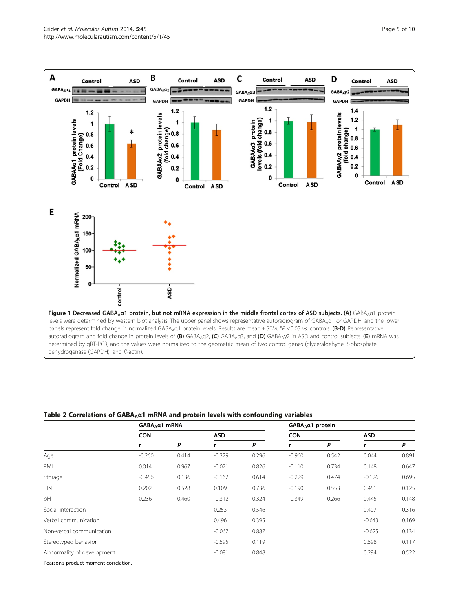<span id="page-4-0"></span>

|                            |            | $GABA_A$ a1 mRNA |            |       | GABA <sub>A</sub> α1 protein |       |            |       |
|----------------------------|------------|------------------|------------|-------|------------------------------|-------|------------|-------|
|                            | <b>CON</b> |                  | <b>ASD</b> |       | <b>CON</b>                   |       | <b>ASD</b> |       |
|                            |            | P                |            | P     |                              | P     |            | P     |
| Age                        | $-0.260$   | 0.414            | $-0.329$   | 0.296 | $-0.960$                     | 0.542 | 0.044      | 0.891 |
| PMI                        | 0.014      | 0.967            | $-0.071$   | 0.826 | $-0.110$                     | 0.734 | 0.148      | 0.647 |
| Storage                    | $-0.456$   | 0.136            | $-0.162$   | 0.614 | $-0.229$                     | 0.474 | $-0.126$   | 0.695 |
| <b>RIN</b>                 | 0.202      | 0.528            | 0.109      | 0.736 | $-0.190$                     | 0.553 | 0.451      | 0.125 |
| pH                         | 0.236      | 0.460            | $-0.312$   | 0.324 | $-0.349$                     | 0.266 | 0.445      | 0.148 |
| Social interaction         |            |                  | 0.253      | 0.546 |                              |       | 0.407      | 0.316 |
| Verbal communication       |            |                  | 0.496      | 0.395 |                              |       | $-0.643$   | 0.169 |
| Non-verbal communication   |            |                  | $-0.067$   | 0.887 |                              |       | $-0.625$   | 0.134 |
| Stereotyped behavior       |            |                  | $-0.595$   | 0.119 |                              |       | 0.598      | 0.117 |
| Abnormality of development |            |                  | $-0.081$   | 0.848 |                              |       | 0.294      | 0.522 |

# Table 2 Correlations of  $GABA_A\alpha1$  mRNA and protein levels with confounding variables

Pearson's product moment correlation.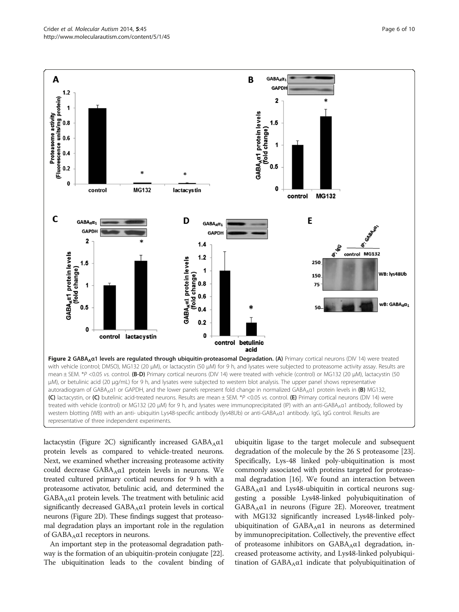<span id="page-5-0"></span>

autoradiogram of GABA<sub>A</sub>α1 or GAPDH, and the lower panels represent fold change in normalized GABA<sub>A</sub>α1 protein levels in (B) MG132, (C) lactacystin, or (C) butelinic acid-treated neurons. Results are mean ± SEM. \*P <0.05 vs. control. (E) Primary cortical neurons (DIV 14) were treated with vehicle (control) or MG132 (20 μM) for 9 h, and lysates were immunoprecipitated (IP) with an anti-GABA<sub>A</sub>α1 antibody, followed by western blotting (WB) with an anti- ubiquitin Lys48-specific antibody (lys48Ub) or anti-GABA<sub>A</sub>α1 antibody. IgG, IgG control. Results are representative of three independent experiments.

lactacystin (Figure 2C) significantly increased  $GABA_A\alpha1$ protein levels as compared to vehicle-treated neurons. Next, we examined whether increasing proteasome activity could decrease GABA<sub>A</sub>α1 protein levels in neurons. We treated cultured primary cortical neurons for 9 h with a proteasome activator, betulinic acid, and determined the  $GABA_A\alpha1$  protein levels. The treatment with betulinic acid significantly decreased  $GABA_A\alpha1$  protein levels in cortical neurons (Figure 2D). These findings suggest that proteasomal degradation plays an important role in the regulation of  $GABA_A\alpha1$  receptors in neurons.

An important step in the proteasomal degradation pathway is the formation of an ubiquitin-protein conjugate [\[22](#page-9-0)]. The ubiquitination leads to the covalent binding of ubiquitin ligase to the target molecule and subsequent degradation of the molecule by the 26 S proteasome [[23](#page-9-0)]. Specifically, Lys-48 linked poly-ubiquitination is most commonly associated with proteins targeted for proteasomal degradation [[16](#page-9-0)]. We found an interaction between  $GABA_A\alpha1$  and Lys48-ubiquitin in cortical neurons suggesting a possible Lys48-linked polyubiquitination of  $GABA_A\alpha1$  in neurons (Figure 2E). Moreover, treatment with MG132 significantly increased Lys48-linked polyubiquitination of  $GABA_A\alpha1$  in neurons as determined by immunoprecipitation. Collectively, the preventive effect of proteasome inhibitors on  $GABA_A\alpha_1$  degradation, increased proteasome activity, and Lys48-linked polyubiquitination of  $GABA_A\alpha1$  indicate that polyubiquitination of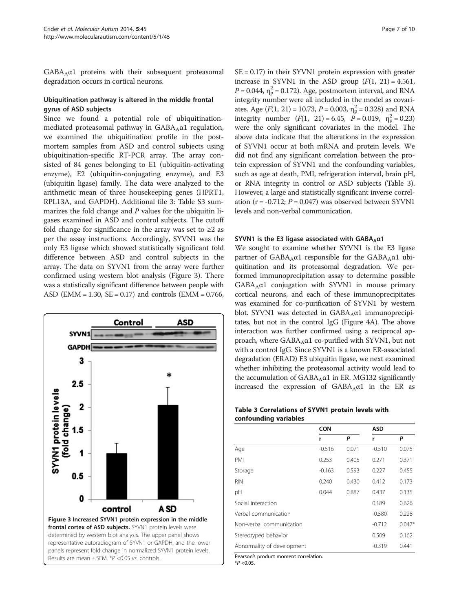$GABA_A\alpha1$  proteins with their subsequent proteasomal degradation occurs in cortical neurons.

# Ubiquitination pathway is altered in the middle frontal gyrus of ASD subjects

Since we found a potential role of ubiquitinationmediated proteasomal pathway in  $GABA_A\alpha1$  regulation, we examined the ubiquitination profile in the postmortem samples from ASD and control subjects using ubiquitination-specific RT-PCR array. The array consisted of 84 genes belonging to E1 (ubiquitin-activating enzyme), E2 (ubiquitin-conjugating enzyme), and E3 (ubiquitin ligase) family. The data were analyzed to the arithmetic mean of three housekeeping genes (HPRT1, RPL13A, and GAPDH). Additional file [3](#page-8-0): Table S3 summarizes the fold change and  $P$  values for the ubiquitin ligases examined in ASD and control subjects. The cutoff fold change for significance in the array was set to  $\geq 2$  as per the assay instructions. Accordingly, SYVN1 was the only E3 ligase which showed statistically significant fold difference between ASD and control subjects in the array. The data on SYVN1 from the array were further confirmed using western blot analysis (Figure 3). There was a statistically significant difference between people with ASD (EMM = 1.30,  $SE = 0.17$ ) and controls (EMM = 0.766,



 $SE = 0.17$ ) in their SYVN1 protein expression with greater increase in SYVN1 in the ASD group  $(F(1, 21) = 4.561,$  $P = 0.044$ ,  $\eta_{\rm p}^2 = 0.172$ ). Age, postmortem interval, and RNA integrity number were all included in the model as covariates. Age  $(F(1, 21) = 10.73, P = 0.003, \eta_{\rm p}^2 = 0.328)$  and RNA integrity number  $(F(1, 21) = 6.45, P = 0.019, \eta_{\rm p}^2 = 0.23)$ were the only significant covariates in the model. The above data indicate that the alterations in the expression of SYVN1 occur at both mRNA and protein levels. We did not find any significant correlation between the protein expression of SYVN1 and the confounding variables, such as age at death, PMI, refrigeration interval, brain pH, or RNA integrity in control or ASD subjects (Table 3). However, a large and statistically significant inverse correlation ( $r = -0.712$ ;  $P = 0.047$ ) was observed between SYVN1 levels and non-verbal communication.

#### SYVN1 is the E3 ligase associated with  $GABA_A\alpha1$

We sought to examine whether SYVN1 is the E3 ligase partner of  $GABA_A\alpha1$  responsible for the  $GABA_A\alpha1$  ubiquitination and its proteasomal degradation. We performed immunoprecipitation assay to determine possible  $GABA_A\alpha1$  conjugation with SYVN1 in mouse primary cortical neurons, and each of these immunoprecipitates was examined for co-purification of SYVN1 by western blot. SYVN1 was detected in  $GABA_A\alpha1$  immunoprecipitates, but not in the control IgG (Figure [4A](#page-7-0)). The above interaction was further confirmed using a reciprocal approach, where  $GABA_A\alpha1$  co-purified with SYVN1, but not with a control IgG. Since SYVN1 is a known ER-associated degradation (ERAD) E3 ubiquitin ligase, we next examined whether inhibiting the proteasomal activity would lead to the accumulation of  $GABA_A\alpha1$  in ER. MG132 significantly increased the expression of  $GABA_A\alpha1$  in the ER as

# Table 3 Correlations of SYVN1 protein levels with confounding variables

|                            | <b>CON</b> |       | ASD      |          |
|----------------------------|------------|-------|----------|----------|
|                            | r          | P     | r        | P        |
| Age                        | $-0.516$   | 0.071 | $-0.510$ | 0.075    |
| PMI                        | 0.253      | 0.405 | 0.271    | 0.371    |
| Storage                    | $-0.163$   | 0.593 | 0.227    | 0.455    |
| <b>RIN</b>                 | 0.240      | 0.430 | 0.412    | 0.173    |
| рH                         | 0.044      | 0.887 | 0.437    | 0.135    |
| Social interaction         |            |       | 0.189    | 0.626    |
| Verbal communication       |            |       | $-0.580$ | 0.228    |
| Non-verbal communication   |            |       | $-0.712$ | $0.047*$ |
| Stereotyped behavior       |            |       | 0.509    | 0.162    |
| Abnormality of development |            |       | $-0.319$ | 0.441    |

Pearson's product moment correlation.

 $*P < 0.05$ .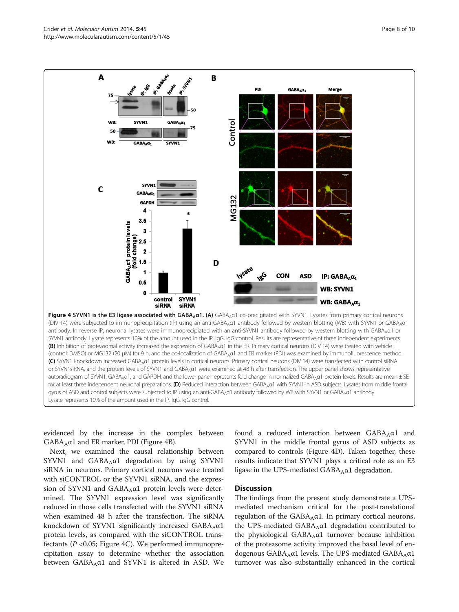<span id="page-7-0"></span>

SYVN1 antibody. Lysate represents 10% of the amount used in the IP. IgG, IgG control. Results are representative of three independent experiments. (B) Inhibition of proteasomal activity increased the expression of GABA<sub>A</sub>α1 in the ER. Primary cortical neurons (DIV 14) were treated with vehicle (control; DMSO) or MG132 (20 μM) for 9 h, and the co-localization of GABAAα1 and ER marker (PDI) was examined by immunofluorescence method. (C) SYVN1 knockdown increased GABA<sub>A</sub>α1 protein levels in cortical neurons. Primary cortical neurons (DIV 14) were transfected with control siRNA or SYVN1siRNA, and the protein levels of SYVN1 and GABAAα1 were examined at 48 h after transfection. The upper panel shows representative autoradiogram of SYVN1, GABA<sub>A</sub>α1, and GAPDH, and the lower panel represents fold change in normalized GABA<sub>A</sub>α1 protein levels. Results are mean ± SE for at least three independent neuronal preparations. (D) Reduced interaction between GABA<sub>A</sub>a1 with SYVN1 in ASD subjects. Lysates from middle frontal gyrus of ASD and control subjects were subjected to IP using an anti-GABAAα1 antibody followed by WB with SYVN1 or GABAAα1 antibody. Lysate represents 10% of the amount used in the IP. IgG, IgG control.

evidenced by the increase in the complex between  $GABA_A\alpha1$  and ER marker, PDI (Figure 4B).

Next, we examined the causal relationship between SYVN1 and  $GABA_A\alpha1$  degradation by using SYVN1 siRNA in neurons. Primary cortical neurons were treated with siCONTROL or the SYVN1 siRNA, and the expression of SYVN1 and  $GABA_A\alpha1$  protein levels were determined. The SYVN1 expression level was significantly reduced in those cells transfected with the SYVN1 siRNA when examined 48 h after the transfection. The siRNA knockdown of SYVN1 significantly increased  $GABA_A\alpha1$ protein levels, as compared with the siCONTROL transfectants ( $P \le 0.05$ ; Figure 4C). We performed immunoprecipitation assay to determine whether the association between  $GABA_A\alpha1$  and SYVN1 is altered in ASD. We

found a reduced interaction between  $GABA_A\alpha1$  and SYVN1 in the middle frontal gyrus of ASD subjects as compared to controls (Figure 4D). Taken together, these results indicate that SYVN1 plays a critical role as an E3 ligase in the UPS-mediated  $GABA_A\alpha1$  degradation.

#### Discussion

The findings from the present study demonstrate a UPSmediated mechanism critical for the post-translational regulation of the  $GABA_A\alpha1$ . In primary cortical neurons, the UPS-mediated  $GABA_A\alpha1$  degradation contributed to the physiological  $GABA_A\alpha1$  turnover because inhibition of the proteasome activity improved the basal level of endogenous GABA<sub>A</sub>α1 levels. The UPS-mediated GABA<sub>A</sub>α1 turnover was also substantially enhanced in the cortical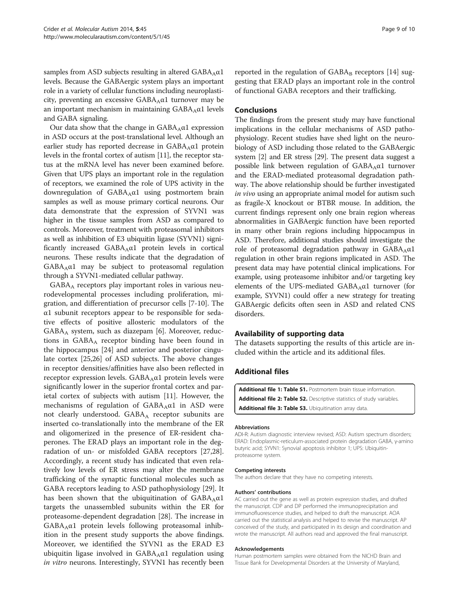<span id="page-8-0"></span>samples from ASD subjects resulting in altered  $GABA_A\alpha1$ levels. Because the GABAergic system plays an important role in a variety of cellular functions including neuroplasticity, preventing an excessive  $GABA_A\alpha1$  turnover may be an important mechanism in maintaining  $GABA_A\alpha1$  levels and GABA signaling.

Our data show that the change in  $GABA_Aα1$  expression in ASD occurs at the post-translational level. Although an earlier study has reported decrease in  $GABA_A\alpha1$  protein levels in the frontal cortex of autism [\[11\]](#page-9-0), the receptor status at the mRNA level has never been examined before. Given that UPS plays an important role in the regulation of receptors, we examined the role of UPS activity in the downregulation of  $GABA_Aα1$  using postmortem brain samples as well as mouse primary cortical neurons. Our data demonstrate that the expression of SYVN1 was higher in the tissue samples from ASD as compared to controls. Moreover, treatment with proteasomal inhibitors as well as inhibition of E3 ubiquitin ligase (SYVN1) significantly increased  $GABA_A\alpha1$  protein levels in cortical neurons. These results indicate that the degradation of  $GABA_A\alpha1$  may be subject to proteasomal regulation through a SYVN1-mediated cellular pathway.

 $GABA_A$  receptors play important roles in various neurodevelopmental processes including proliferation, migration, and differentiation of precursor cells [[7-10\]](#page-9-0). The α1 subunit receptors appear to be responsible for sedative effects of positive allosteric modulators of the  $GABA_A$  system, such as diazepam [\[6](#page-9-0)]. Moreover, reductions in  $GABA_A$  receptor binding have been found in the hippocampus [[24](#page-9-0)] and anterior and posterior cingulate cortex [[25,26\]](#page-9-0) of ASD subjects. The above changes in receptor densities/affinities have also been reflected in receptor expression levels.  $GABA_A\alpha1$  protein levels were significantly lower in the superior frontal cortex and parietal cortex of subjects with autism [\[11](#page-9-0)]. However, the mechanisms of regulation of  $GABA_A\alpha1$  in ASD were not clearly understood. GABA<sub>A</sub> receptor subunits are inserted co-translationally into the membrane of the ER and oligomerized in the presence of ER-resident chaperones. The ERAD plays an important role in the degradation of un- or misfolded GABA receptors [\[27,28](#page-9-0)]. Accordingly, a recent study has indicated that even relatively low levels of ER stress may alter the membrane trafficking of the synaptic functional molecules such as GABA receptors leading to ASD pathophysiology [[29\]](#page-9-0). It has been shown that the ubiquitination of  $GABA_A\alpha1$ targets the unassembled subunits within the ER for proteasome-dependent degradation [[28](#page-9-0)]. The increase in  $GABA_A\alpha1$  protein levels following proteasomal inhibition in the present study supports the above findings. Moreover, we identified the SYVN1 as the ERAD E3 ubiquitin ligase involved in  $GABA_A\alpha1$  regulation using in vitro neurons. Interestingly, SYVN1 has recently been reported in the regulation of  $GABA_B$  receptors [[14\]](#page-9-0) suggesting that ERAD plays an important role in the control of functional GABA receptors and their trafficking.

# Conclusions

The findings from the present study may have functional implications in the cellular mechanisms of ASD pathophysiology. Recent studies have shed light on the neurobiology of ASD including those related to the GABAergic system [\[2](#page-9-0)] and ER stress [\[29\]](#page-9-0). The present data suggest a possible link between regulation of  $GABA_A\alpha1$  turnover and the ERAD-mediated proteasomal degradation pathway. The above relationship should be further investigated in vivo using an appropriate animal model for autism such as fragile-X knockout or BTBR mouse. In addition, the current findings represent only one brain region whereas abnormalities in GABAergic function have been reported in many other brain regions including hippocampus in ASD. Therefore, additional studies should investigate the role of proteasomal degradation pathway in  $GABA_A\alpha1$ regulation in other brain regions implicated in ASD. The present data may have potential clinical implications. For example, using proteasome inhibitor and/or targeting key elements of the UPS-mediated  $GABA_A\alpha1$  turnover (for example, SYVN1) could offer a new strategy for treating GABAergic deficits often seen in ASD and related CNS disorders.

# Availability of supporting data

The datasets supporting the results of this article are included within the article and its additional files.

# Additional files

[Additional file 1: Table S1.](http://www.biomedcentral.com/content/supplementary/2040-2392-5-45-S1.docx) Postmortem brain tissue information. [Additional file 2: Table S2.](http://www.biomedcentral.com/content/supplementary/2040-2392-5-45-S2.docx) Descriptive statistics of study variables. [Additional file 3: Table S3.](http://www.biomedcentral.com/content/supplementary/2040-2392-5-45-S3.docx) Ubiquitination array data.

#### Abbreviations

ADI-R: Autism diagnostic interview revised; ASD: Autism spectrum disorders; ERAD: Endoplasmic-reticulum-associated protein degradation GABA, γ-amino butyric acid; SYVN1: Synovial apoptosis inhibitor 1; UPS: Ubiquitinproteasome system.

#### Competing interests

The authors declare that they have no competing interests.

#### Authors' contributions

AC carried out the gene as well as protein expression studies, and drafted the manuscript. CDP and DP performed the immunoprecipitation and immunofluorescence studies, and helped to draft the manuscript. AOA carried out the statistical analysis and helped to revise the manuscript. AP conceived of the study, and participated in its design and coordination and wrote the manuscript. All authors read and approved the final manuscript.

#### Acknowledgements

Human postmortem samples were obtained from the NICHD Brain and Tissue Bank for Developmental Disorders at the University of Maryland,